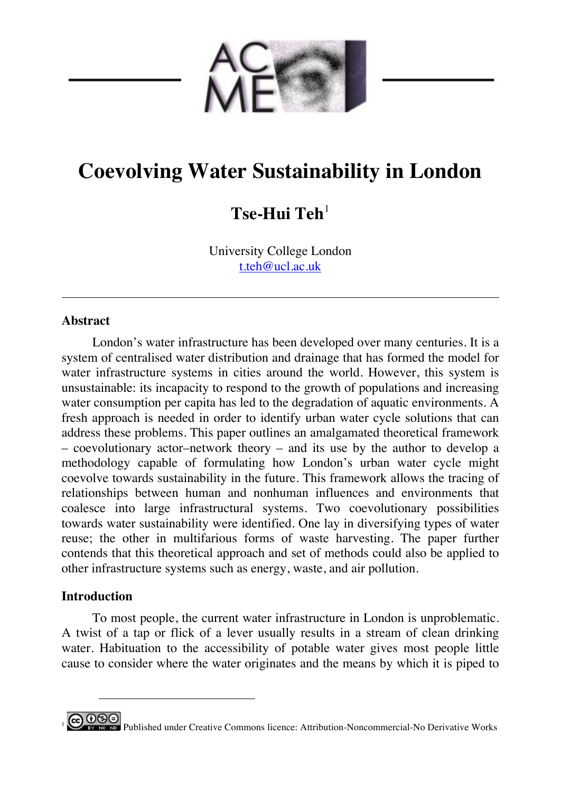

# **Coevolving Water Sustainability in London**

## **Tse-Hui Teh**<sup>1</sup>

University College London t.teh@ucl.ac.uk

## **Abstract**

London's water infrastructure has been developed over many centuries. It is a system of centralised water distribution and drainage that has formed the model for water infrastructure systems in cities around the world. However, this system is unsustainable: its incapacity to respond to the growth of populations and increasing water consumption per capita has led to the degradation of aquatic environments. A fresh approach is needed in order to identify urban water cycle solutions that can address these problems. This paper outlines an amalgamated theoretical framework – coevolutionary actor–network theory – and its use by the author to develop a methodology capable of formulating how London's urban water cycle might coevolve towards sustainability in the future. This framework allows the tracing of relationships between human and nonhuman influences and environments that coalesce into large infrastructural systems. Two coevolutionary possibilities towards water sustainability were identified. One lay in diversifying types of water reuse; the other in multifarious forms of waste harvesting. The paper further contends that this theoretical approach and set of methods could also be applied to other infrastructure systems such as energy, waste, and air pollution.

## **Introduction**

 $\overline{a}$ 

To most people, the current water infrastructure in London is unproblematic. A twist of a tap or flick of a lever usually results in a stream of clean drinking water. Habituation to the accessibility of potable water gives most people little cause to consider where the water originates and the means by which it is piped to

0 **9 Published under Creative Commons licence:** Attribution-Noncommercial-No Derivative Works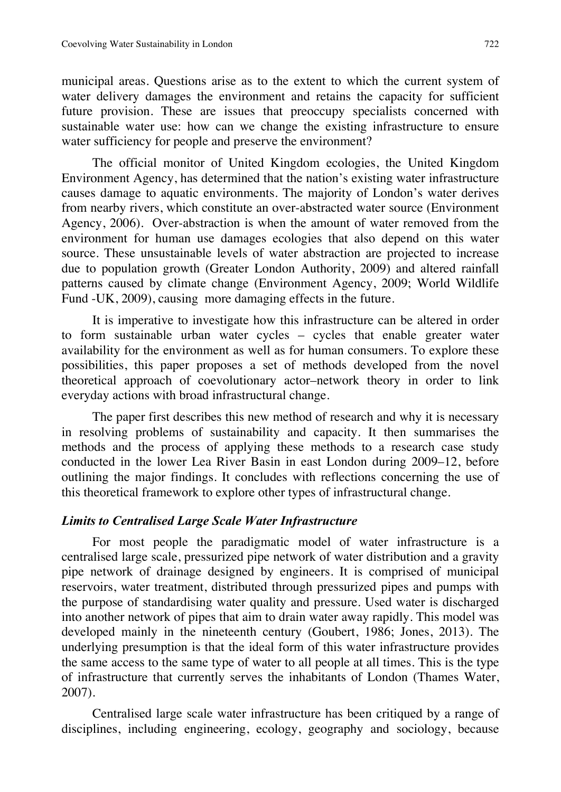municipal areas. Questions arise as to the extent to which the current system of water delivery damages the environment and retains the capacity for sufficient future provision. These are issues that preoccupy specialists concerned with sustainable water use: how can we change the existing infrastructure to ensure water sufficiency for people and preserve the environment?

The official monitor of United Kingdom ecologies, the United Kingdom Environment Agency, has determined that the nation's existing water infrastructure causes damage to aquatic environments. The majority of London's water derives from nearby rivers, which constitute an over-abstracted water source (Environment Agency, 2006). Over-abstraction is when the amount of water removed from the environment for human use damages ecologies that also depend on this water source. These unsustainable levels of water abstraction are projected to increase due to population growth (Greater London Authority, 2009) and altered rainfall patterns caused by climate change (Environment Agency, 2009; World Wildlife Fund -UK, 2009), causing more damaging effects in the future.

It is imperative to investigate how this infrastructure can be altered in order to form sustainable urban water cycles – cycles that enable greater water availability for the environment as well as for human consumers. To explore these possibilities, this paper proposes a set of methods developed from the novel theoretical approach of coevolutionary actor–network theory in order to link everyday actions with broad infrastructural change.

The paper first describes this new method of research and why it is necessary in resolving problems of sustainability and capacity. It then summarises the methods and the process of applying these methods to a research case study conducted in the lower Lea River Basin in east London during 2009–12, before outlining the major findings. It concludes with reflections concerning the use of this theoretical framework to explore other types of infrastructural change.

## *Limits to Centralised Large Scale Water Infrastructure*

For most people the paradigmatic model of water infrastructure is a centralised large scale, pressurized pipe network of water distribution and a gravity pipe network of drainage designed by engineers. It is comprised of municipal reservoirs, water treatment, distributed through pressurized pipes and pumps with the purpose of standardising water quality and pressure. Used water is discharged into another network of pipes that aim to drain water away rapidly. This model was developed mainly in the nineteenth century (Goubert, 1986; Jones, 2013). The underlying presumption is that the ideal form of this water infrastructure provides the same access to the same type of water to all people at all times. This is the type of infrastructure that currently serves the inhabitants of London (Thames Water, 2007).

Centralised large scale water infrastructure has been critiqued by a range of disciplines, including engineering, ecology, geography and sociology, because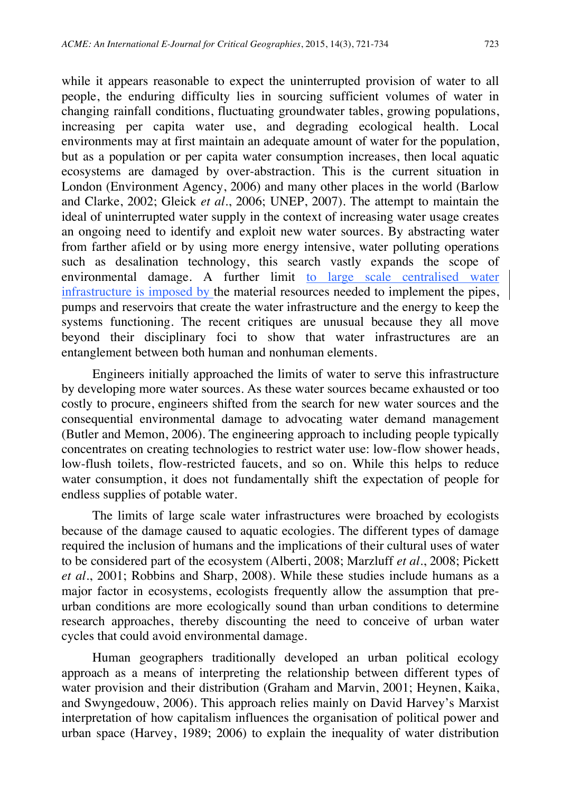while it appears reasonable to expect the uninterrupted provision of water to all people, the enduring difficulty lies in sourcing sufficient volumes of water in changing rainfall conditions, fluctuating groundwater tables, growing populations, increasing per capita water use, and degrading ecological health. Local environments may at first maintain an adequate amount of water for the population, but as a population or per capita water consumption increases, then local aquatic ecosystems are damaged by over-abstraction. This is the current situation in London (Environment Agency, 2006) and many other places in the world (Barlow and Clarke, 2002; Gleick *et al*., 2006; UNEP, 2007). The attempt to maintain the ideal of uninterrupted water supply in the context of increasing water usage creates an ongoing need to identify and exploit new water sources. By abstracting water from farther afield or by using more energy intensive, water polluting operations such as desalination technology, this search vastly expands the scope of environmental damage. A further limit to large scale centralised water infrastructure is imposed by the material resources needed to implement the pipes, pumps and reservoirs that create the water infrastructure and the energy to keep the systems functioning. The recent critiques are unusual because they all move beyond their disciplinary foci to show that water infrastructures are an entanglement between both human and nonhuman elements.

Engineers initially approached the limits of water to serve this infrastructure by developing more water sources. As these water sources became exhausted or too costly to procure, engineers shifted from the search for new water sources and the consequential environmental damage to advocating water demand management (Butler and Memon, 2006). The engineering approach to including people typically concentrates on creating technologies to restrict water use: low-flow shower heads, low-flush toilets, flow-restricted faucets, and so on. While this helps to reduce water consumption, it does not fundamentally shift the expectation of people for endless supplies of potable water.

The limits of large scale water infrastructures were broached by ecologists because of the damage caused to aquatic ecologies. The different types of damage required the inclusion of humans and the implications of their cultural uses of water to be considered part of the ecosystem (Alberti, 2008; Marzluff *et al*., 2008; Pickett *et al*., 2001; Robbins and Sharp, 2008). While these studies include humans as a major factor in ecosystems, ecologists frequently allow the assumption that preurban conditions are more ecologically sound than urban conditions to determine research approaches, thereby discounting the need to conceive of urban water cycles that could avoid environmental damage.

Human geographers traditionally developed an urban political ecology approach as a means of interpreting the relationship between different types of water provision and their distribution (Graham and Marvin, 2001; Heynen, Kaika, and Swyngedouw, 2006). This approach relies mainly on David Harvey's Marxist interpretation of how capitalism influences the organisation of political power and urban space (Harvey, 1989; 2006) to explain the inequality of water distribution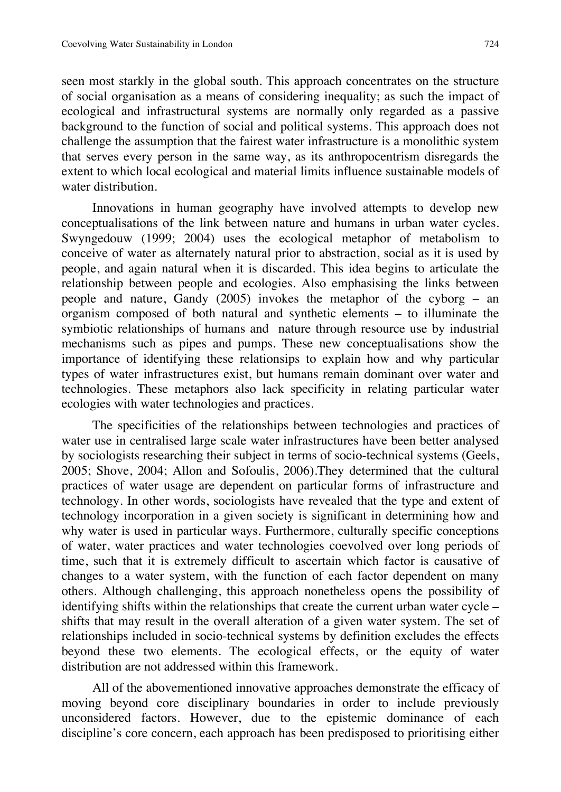seen most starkly in the global south. This approach concentrates on the structure of social organisation as a means of considering inequality; as such the impact of ecological and infrastructural systems are normally only regarded as a passive background to the function of social and political systems. This approach does not challenge the assumption that the fairest water infrastructure is a monolithic system that serves every person in the same way, as its anthropocentrism disregards the extent to which local ecological and material limits influence sustainable models of water distribution.

Innovations in human geography have involved attempts to develop new conceptualisations of the link between nature and humans in urban water cycles. Swyngedouw (1999; 2004) uses the ecological metaphor of metabolism to conceive of water as alternately natural prior to abstraction, social as it is used by people, and again natural when it is discarded. This idea begins to articulate the relationship between people and ecologies. Also emphasising the links between people and nature, Gandy (2005) invokes the metaphor of the cyborg – an organism composed of both natural and synthetic elements – to illuminate the symbiotic relationships of humans and nature through resource use by industrial mechanisms such as pipes and pumps. These new conceptualisations show the importance of identifying these relationsips to explain how and why particular types of water infrastructures exist, but humans remain dominant over water and technologies. These metaphors also lack specificity in relating particular water ecologies with water technologies and practices.

The specificities of the relationships between technologies and practices of water use in centralised large scale water infrastructures have been better analysed by sociologists researching their subject in terms of socio-technical systems (Geels, 2005; Shove, 2004; Allon and Sofoulis, 2006).They determined that the cultural practices of water usage are dependent on particular forms of infrastructure and technology. In other words, sociologists have revealed that the type and extent of technology incorporation in a given society is significant in determining how and why water is used in particular ways. Furthermore, culturally specific conceptions of water, water practices and water technologies coevolved over long periods of time, such that it is extremely difficult to ascertain which factor is causative of changes to a water system, with the function of each factor dependent on many others. Although challenging, this approach nonetheless opens the possibility of identifying shifts within the relationships that create the current urban water cycle – shifts that may result in the overall alteration of a given water system. The set of relationships included in socio-technical systems by definition excludes the effects beyond these two elements. The ecological effects, or the equity of water distribution are not addressed within this framework.

All of the abovementioned innovative approaches demonstrate the efficacy of moving beyond core disciplinary boundaries in order to include previously unconsidered factors. However, due to the epistemic dominance of each discipline's core concern, each approach has been predisposed to prioritising either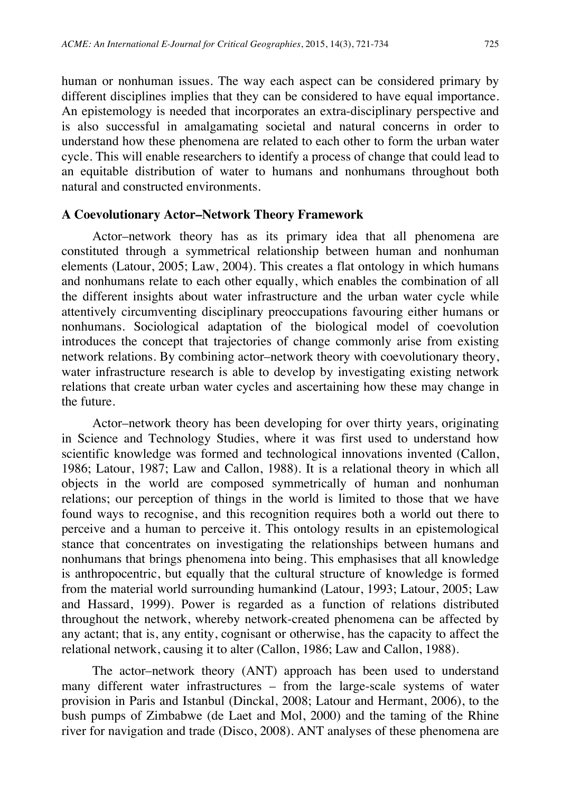human or nonhuman issues. The way each aspect can be considered primary by different disciplines implies that they can be considered to have equal importance. An epistemology is needed that incorporates an extra-disciplinary perspective and is also successful in amalgamating societal and natural concerns in order to understand how these phenomena are related to each other to form the urban water cycle. This will enable researchers to identify a process of change that could lead to an equitable distribution of water to humans and nonhumans throughout both natural and constructed environments.

## **A Coevolutionary Actor–Network Theory Framework**

Actor–network theory has as its primary idea that all phenomena are constituted through a symmetrical relationship between human and nonhuman elements (Latour, 2005; Law, 2004). This creates a flat ontology in which humans and nonhumans relate to each other equally, which enables the combination of all the different insights about water infrastructure and the urban water cycle while attentively circumventing disciplinary preoccupations favouring either humans or nonhumans. Sociological adaptation of the biological model of coevolution introduces the concept that trajectories of change commonly arise from existing network relations. By combining actor–network theory with coevolutionary theory, water infrastructure research is able to develop by investigating existing network relations that create urban water cycles and ascertaining how these may change in the future.

Actor–network theory has been developing for over thirty years, originating in Science and Technology Studies, where it was first used to understand how scientific knowledge was formed and technological innovations invented (Callon, 1986; Latour, 1987; Law and Callon, 1988). It is a relational theory in which all objects in the world are composed symmetrically of human and nonhuman relations; our perception of things in the world is limited to those that we have found ways to recognise, and this recognition requires both a world out there to perceive and a human to perceive it. This ontology results in an epistemological stance that concentrates on investigating the relationships between humans and nonhumans that brings phenomena into being. This emphasises that all knowledge is anthropocentric, but equally that the cultural structure of knowledge is formed from the material world surrounding humankind (Latour, 1993; Latour, 2005; Law and Hassard, 1999). Power is regarded as a function of relations distributed throughout the network, whereby network-created phenomena can be affected by any actant; that is, any entity, cognisant or otherwise, has the capacity to affect the relational network, causing it to alter (Callon, 1986; Law and Callon, 1988).

The actor–network theory (ANT) approach has been used to understand many different water infrastructures – from the large-scale systems of water provision in Paris and Istanbul (Dinckal, 2008; Latour and Hermant, 2006), to the bush pumps of Zimbabwe (de Laet and Mol, 2000) and the taming of the Rhine river for navigation and trade (Disco, 2008). ANT analyses of these phenomena are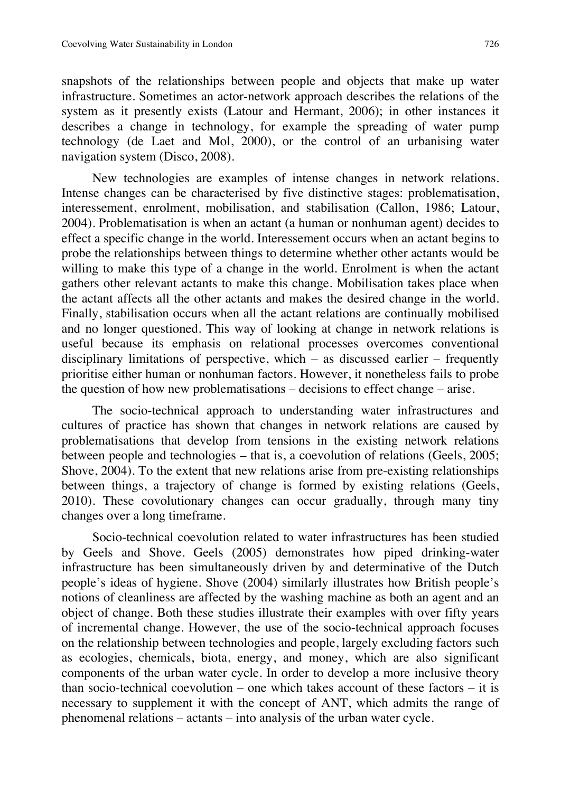snapshots of the relationships between people and objects that make up water infrastructure. Sometimes an actor-network approach describes the relations of the system as it presently exists (Latour and Hermant, 2006); in other instances it describes a change in technology, for example the spreading of water pump technology (de Laet and Mol, 2000), or the control of an urbanising water navigation system (Disco, 2008).

New technologies are examples of intense changes in network relations. Intense changes can be characterised by five distinctive stages: problematisation, interessement, enrolment, mobilisation, and stabilisation (Callon, 1986; Latour, 2004). Problematisation is when an actant (a human or nonhuman agent) decides to effect a specific change in the world. Interessement occurs when an actant begins to probe the relationships between things to determine whether other actants would be willing to make this type of a change in the world. Enrolment is when the actant gathers other relevant actants to make this change. Mobilisation takes place when the actant affects all the other actants and makes the desired change in the world. Finally, stabilisation occurs when all the actant relations are continually mobilised and no longer questioned. This way of looking at change in network relations is useful because its emphasis on relational processes overcomes conventional disciplinary limitations of perspective, which – as discussed earlier – frequently prioritise either human or nonhuman factors. However, it nonetheless fails to probe the question of how new problematisations – decisions to effect change – arise.

The socio-technical approach to understanding water infrastructures and cultures of practice has shown that changes in network relations are caused by problematisations that develop from tensions in the existing network relations between people and technologies – that is, a coevolution of relations (Geels, 2005; Shove, 2004). To the extent that new relations arise from pre-existing relationships between things, a trajectory of change is formed by existing relations (Geels, 2010). These covolutionary changes can occur gradually, through many tiny changes over a long timeframe.

Socio-technical coevolution related to water infrastructures has been studied by Geels and Shove. Geels (2005) demonstrates how piped drinking-water infrastructure has been simultaneously driven by and determinative of the Dutch people's ideas of hygiene. Shove (2004) similarly illustrates how British people's notions of cleanliness are affected by the washing machine as both an agent and an object of change. Both these studies illustrate their examples with over fifty years of incremental change. However, the use of the socio-technical approach focuses on the relationship between technologies and people, largely excluding factors such as ecologies, chemicals, biota, energy, and money, which are also significant components of the urban water cycle. In order to develop a more inclusive theory than socio-technical coevolution – one which takes account of these factors – it is necessary to supplement it with the concept of ANT, which admits the range of phenomenal relations – actants – into analysis of the urban water cycle.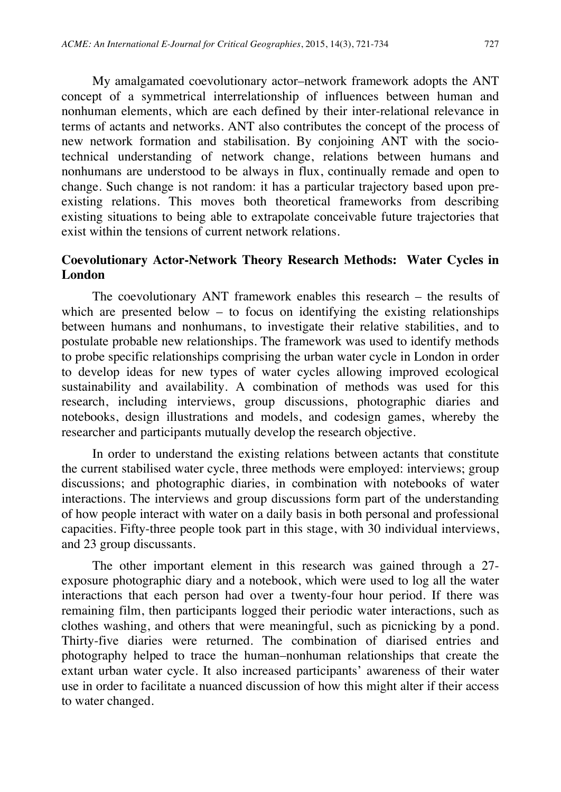My amalgamated coevolutionary actor–network framework adopts the ANT concept of a symmetrical interrelationship of influences between human and nonhuman elements, which are each defined by their inter-relational relevance in terms of actants and networks. ANT also contributes the concept of the process of new network formation and stabilisation. By conjoining ANT with the sociotechnical understanding of network change, relations between humans and nonhumans are understood to be always in flux, continually remade and open to change. Such change is not random: it has a particular trajectory based upon preexisting relations. This moves both theoretical frameworks from describing existing situations to being able to extrapolate conceivable future trajectories that exist within the tensions of current network relations.

## **Coevolutionary Actor-Network Theory Research Methods: Water Cycles in London**

The coevolutionary ANT framework enables this research – the results of which are presented below – to focus on identifying the existing relationships between humans and nonhumans, to investigate their relative stabilities, and to postulate probable new relationships. The framework was used to identify methods to probe specific relationships comprising the urban water cycle in London in order to develop ideas for new types of water cycles allowing improved ecological sustainability and availability. A combination of methods was used for this research, including interviews, group discussions, photographic diaries and notebooks, design illustrations and models, and codesign games, whereby the researcher and participants mutually develop the research objective.

In order to understand the existing relations between actants that constitute the current stabilised water cycle, three methods were employed: interviews; group discussions; and photographic diaries, in combination with notebooks of water interactions. The interviews and group discussions form part of the understanding of how people interact with water on a daily basis in both personal and professional capacities. Fifty-three people took part in this stage, with 30 individual interviews, and 23 group discussants.

The other important element in this research was gained through a 27 exposure photographic diary and a notebook, which were used to log all the water interactions that each person had over a twenty-four hour period. If there was remaining film, then participants logged their periodic water interactions, such as clothes washing, and others that were meaningful, such as picnicking by a pond. Thirty-five diaries were returned. The combination of diarised entries and photography helped to trace the human–nonhuman relationships that create the extant urban water cycle. It also increased participants' awareness of their water use in order to facilitate a nuanced discussion of how this might alter if their access to water changed.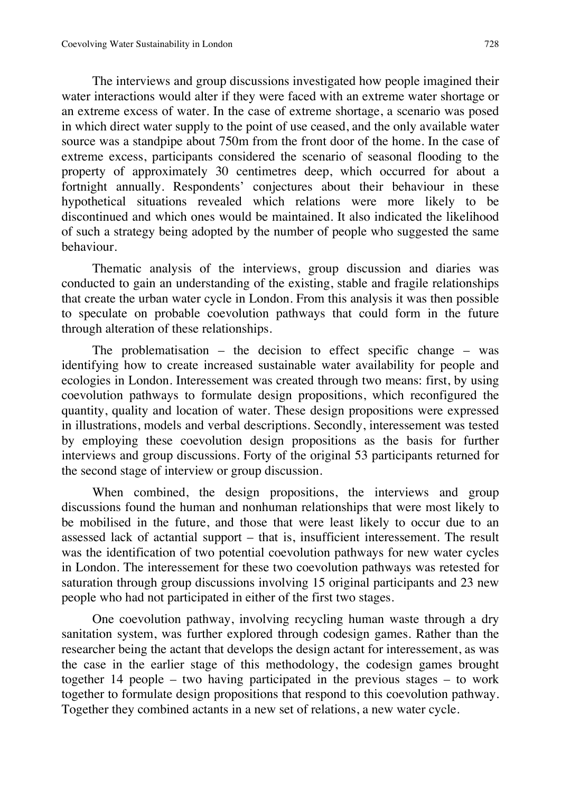The interviews and group discussions investigated how people imagined their water interactions would alter if they were faced with an extreme water shortage or an extreme excess of water. In the case of extreme shortage, a scenario was posed in which direct water supply to the point of use ceased, and the only available water source was a standpipe about 750m from the front door of the home. In the case of extreme excess, participants considered the scenario of seasonal flooding to the property of approximately 30 centimetres deep, which occurred for about a fortnight annually. Respondents' conjectures about their behaviour in these hypothetical situations revealed which relations were more likely to be discontinued and which ones would be maintained. It also indicated the likelihood of such a strategy being adopted by the number of people who suggested the same behaviour.

Thematic analysis of the interviews, group discussion and diaries was conducted to gain an understanding of the existing, stable and fragile relationships that create the urban water cycle in London. From this analysis it was then possible to speculate on probable coevolution pathways that could form in the future through alteration of these relationships.

The problematisation – the decision to effect specific change – was identifying how to create increased sustainable water availability for people and ecologies in London. Interessement was created through two means: first, by using coevolution pathways to formulate design propositions, which reconfigured the quantity, quality and location of water. These design propositions were expressed in illustrations, models and verbal descriptions. Secondly, interessement was tested by employing these coevolution design propositions as the basis for further interviews and group discussions. Forty of the original 53 participants returned for the second stage of interview or group discussion.

When combined, the design propositions, the interviews and group discussions found the human and nonhuman relationships that were most likely to be mobilised in the future, and those that were least likely to occur due to an assessed lack of actantial support – that is, insufficient interessement. The result was the identification of two potential coevolution pathways for new water cycles in London. The interessement for these two coevolution pathways was retested for saturation through group discussions involving 15 original participants and 23 new people who had not participated in either of the first two stages.

One coevolution pathway, involving recycling human waste through a dry sanitation system, was further explored through codesign games. Rather than the researcher being the actant that develops the design actant for interessement, as was the case in the earlier stage of this methodology, the codesign games brought together 14 people – two having participated in the previous stages – to work together to formulate design propositions that respond to this coevolution pathway. Together they combined actants in a new set of relations, a new water cycle.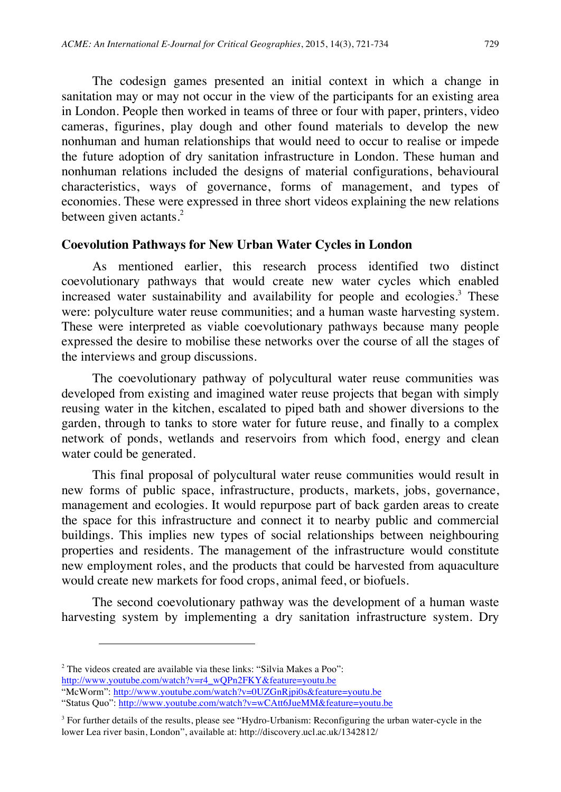The codesign games presented an initial context in which a change in sanitation may or may not occur in the view of the participants for an existing area in London. People then worked in teams of three or four with paper, printers, video cameras, figurines, play dough and other found materials to develop the new nonhuman and human relationships that would need to occur to realise or impede the future adoption of dry sanitation infrastructure in London. These human and nonhuman relations included the designs of material configurations, behavioural characteristics, ways of governance, forms of management, and types of economies. These were expressed in three short videos explaining the new relations between given actants.<sup>2</sup>

## **Coevolution Pathways for New Urban Water Cycles in London**

As mentioned earlier, this research process identified two distinct coevolutionary pathways that would create new water cycles which enabled increased water sustainability and availability for people and ecologies.<sup>3</sup> These were: polyculture water reuse communities; and a human waste harvesting system. These were interpreted as viable coevolutionary pathways because many people expressed the desire to mobilise these networks over the course of all the stages of the interviews and group discussions.

The coevolutionary pathway of polycultural water reuse communities was developed from existing and imagined water reuse projects that began with simply reusing water in the kitchen, escalated to piped bath and shower diversions to the garden, through to tanks to store water for future reuse, and finally to a complex network of ponds, wetlands and reservoirs from which food, energy and clean water could be generated.

This final proposal of polycultural water reuse communities would result in new forms of public space, infrastructure, products, markets, jobs, governance, management and ecologies. It would repurpose part of back garden areas to create the space for this infrastructure and connect it to nearby public and commercial buildings. This implies new types of social relationships between neighbouring properties and residents. The management of the infrastructure would constitute new employment roles, and the products that could be harvested from aquaculture would create new markets for food crops, animal feed, or biofuels.

The second coevolutionary pathway was the development of a human waste harvesting system by implementing a dry sanitation infrastructure system. Dry

 $\overline{a}$ 

<sup>&</sup>lt;sup>2</sup> The videos created are available via these links: "Silvia Makes a Poo":

http://www.youtube.com/watch?v=r4\_wQPn2FKY&feature=youtu.be

<sup>&</sup>quot;McWorm": http://www.youtube.com/watch?v=0UZGnRjpi0s&feature=youtu.be

<sup>&</sup>quot;Status Quo": http://www.youtube.com/watch?v=wCAtt6JueMM&feature=youtu.be

<sup>3</sup> For further details of the results, please see "Hydro-Urbanism: Reconfiguring the urban water-cycle in the lower Lea river basin, London", available at: http://discovery.ucl.ac.uk/1342812/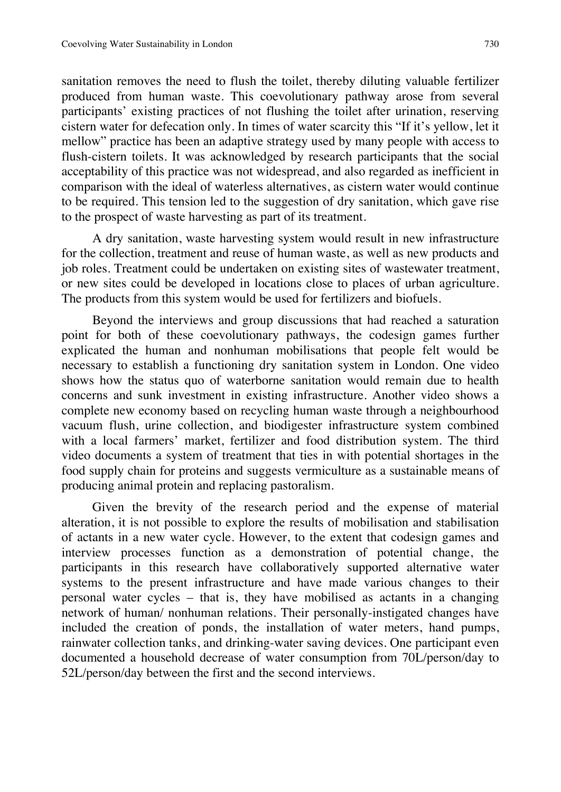sanitation removes the need to flush the toilet, thereby diluting valuable fertilizer produced from human waste. This coevolutionary pathway arose from several participants' existing practices of not flushing the toilet after urination, reserving cistern water for defecation only. In times of water scarcity this "If it's yellow, let it mellow" practice has been an adaptive strategy used by many people with access to flush-cistern toilets. It was acknowledged by research participants that the social acceptability of this practice was not widespread, and also regarded as inefficient in comparison with the ideal of waterless alternatives, as cistern water would continue to be required. This tension led to the suggestion of dry sanitation, which gave rise to the prospect of waste harvesting as part of its treatment.

A dry sanitation, waste harvesting system would result in new infrastructure for the collection, treatment and reuse of human waste, as well as new products and job roles. Treatment could be undertaken on existing sites of wastewater treatment, or new sites could be developed in locations close to places of urban agriculture. The products from this system would be used for fertilizers and biofuels.

Beyond the interviews and group discussions that had reached a saturation point for both of these coevolutionary pathways, the codesign games further explicated the human and nonhuman mobilisations that people felt would be necessary to establish a functioning dry sanitation system in London. One video shows how the status quo of waterborne sanitation would remain due to health concerns and sunk investment in existing infrastructure. Another video shows a complete new economy based on recycling human waste through a neighbourhood vacuum flush, urine collection, and biodigester infrastructure system combined with a local farmers' market, fertilizer and food distribution system. The third video documents a system of treatment that ties in with potential shortages in the food supply chain for proteins and suggests vermiculture as a sustainable means of producing animal protein and replacing pastoralism.

Given the brevity of the research period and the expense of material alteration, it is not possible to explore the results of mobilisation and stabilisation of actants in a new water cycle. However, to the extent that codesign games and interview processes function as a demonstration of potential change, the participants in this research have collaboratively supported alternative water systems to the present infrastructure and have made various changes to their personal water cycles – that is, they have mobilised as actants in a changing network of human/ nonhuman relations. Their personally-instigated changes have included the creation of ponds, the installation of water meters, hand pumps, rainwater collection tanks, and drinking-water saving devices. One participant even documented a household decrease of water consumption from 70L/person/day to 52L/person/day between the first and the second interviews.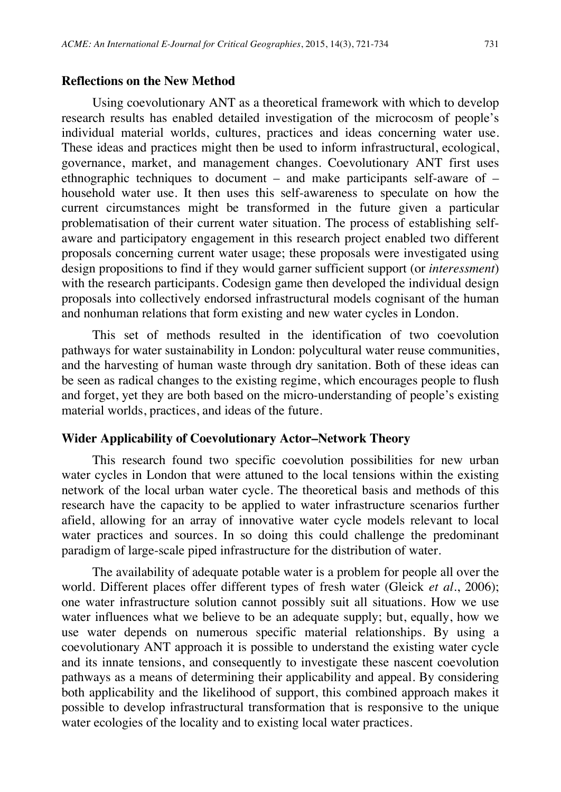### **Reflections on the New Method**

Using coevolutionary ANT as a theoretical framework with which to develop research results has enabled detailed investigation of the microcosm of people's individual material worlds, cultures, practices and ideas concerning water use. These ideas and practices might then be used to inform infrastructural, ecological, governance, market, and management changes. Coevolutionary ANT first uses ethnographic techniques to document – and make participants self-aware of – household water use. It then uses this self-awareness to speculate on how the current circumstances might be transformed in the future given a particular problematisation of their current water situation. The process of establishing selfaware and participatory engagement in this research project enabled two different proposals concerning current water usage; these proposals were investigated using design propositions to find if they would garner sufficient support (or *interessment*) with the research participants. Codesign game then developed the individual design proposals into collectively endorsed infrastructural models cognisant of the human and nonhuman relations that form existing and new water cycles in London.

This set of methods resulted in the identification of two coevolution pathways for water sustainability in London: polycultural water reuse communities, and the harvesting of human waste through dry sanitation. Both of these ideas can be seen as radical changes to the existing regime, which encourages people to flush and forget, yet they are both based on the micro-understanding of people's existing material worlds, practices, and ideas of the future.

#### **Wider Applicability of Coevolutionary Actor–Network Theory**

This research found two specific coevolution possibilities for new urban water cycles in London that were attuned to the local tensions within the existing network of the local urban water cycle. The theoretical basis and methods of this research have the capacity to be applied to water infrastructure scenarios further afield, allowing for an array of innovative water cycle models relevant to local water practices and sources. In so doing this could challenge the predominant paradigm of large-scale piped infrastructure for the distribution of water.

The availability of adequate potable water is a problem for people all over the world. Different places offer different types of fresh water (Gleick *et al*., 2006); one water infrastructure solution cannot possibly suit all situations. How we use water influences what we believe to be an adequate supply; but, equally, how we use water depends on numerous specific material relationships. By using a coevolutionary ANT approach it is possible to understand the existing water cycle and its innate tensions, and consequently to investigate these nascent coevolution pathways as a means of determining their applicability and appeal. By considering both applicability and the likelihood of support, this combined approach makes it possible to develop infrastructural transformation that is responsive to the unique water ecologies of the locality and to existing local water practices.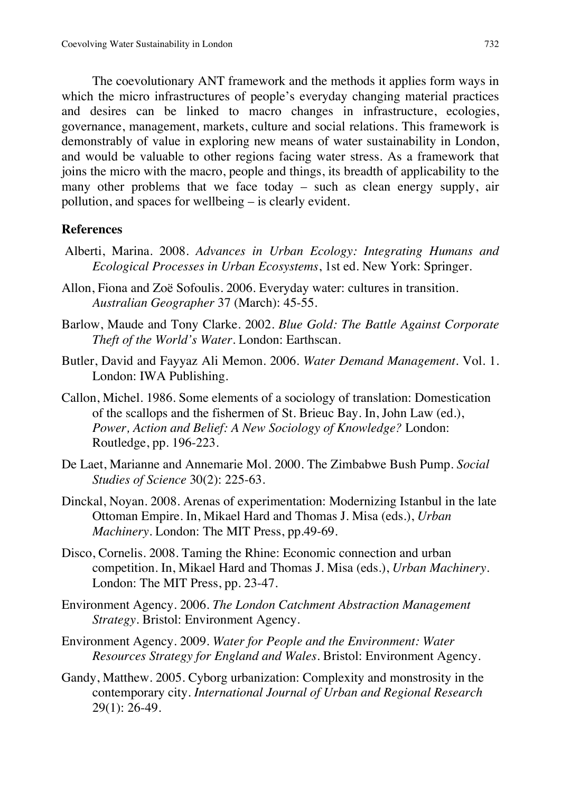The coevolutionary ANT framework and the methods it applies form ways in which the micro infrastructures of people's everyday changing material practices and desires can be linked to macro changes in infrastructure, ecologies, governance, management, markets, culture and social relations. This framework is demonstrably of value in exploring new means of water sustainability in London, and would be valuable to other regions facing water stress. As a framework that joins the micro with the macro, people and things, its breadth of applicability to the many other problems that we face today – such as clean energy supply, air pollution, and spaces for wellbeing – is clearly evident.

### **References**

- Alberti, Marina. 2008. *Advances in Urban Ecology: Integrating Humans and Ecological Processes in Urban Ecosystems*, 1st ed. New York: Springer.
- Allon, Fiona and Zoë Sofoulis. 2006. Everyday water: cultures in transition. *Australian Geographer* 37 (March): 45-55.
- Barlow, Maude and Tony Clarke. 2002. *Blue Gold: The Battle Against Corporate Theft of the World's Water*. London: Earthscan.
- Butler, David and Fayyaz Ali Memon. 2006. *Water Demand Management*. Vol. 1. London: IWA Publishing.
- Callon, Michel. 1986. Some elements of a sociology of translation: Domestication of the scallops and the fishermen of St. Brieuc Bay. In, John Law (ed.), *Power, Action and Belief: A New Sociology of Knowledge?* London: Routledge, pp. 196-223.
- De Laet, Marianne and Annemarie Mol. 2000. The Zimbabwe Bush Pump. *Social Studies of Science* 30(2): 225-63.
- Dinckal, Noyan. 2008. Arenas of experimentation: Modernizing Istanbul in the late Ottoman Empire. In, Mikael Hard and Thomas J. Misa (eds.), *Urban Machinery*. London: The MIT Press, pp.49-69.
- Disco, Cornelis. 2008. Taming the Rhine: Economic connection and urban competition. In, Mikael Hard and Thomas J. Misa (eds.), *Urban Machinery*. London: The MIT Press, pp. 23-47.
- Environment Agency. 2006. *The London Catchment Abstraction Management Strategy*. Bristol: Environment Agency.
- Environment Agency. 2009. *Water for People and the Environment: Water Resources Strategy for England and Wales*. Bristol: Environment Agency.
- Gandy, Matthew. 2005. Cyborg urbanization: Complexity and monstrosity in the contemporary city. *International Journal of Urban and Regional Research* 29(1): 26-49.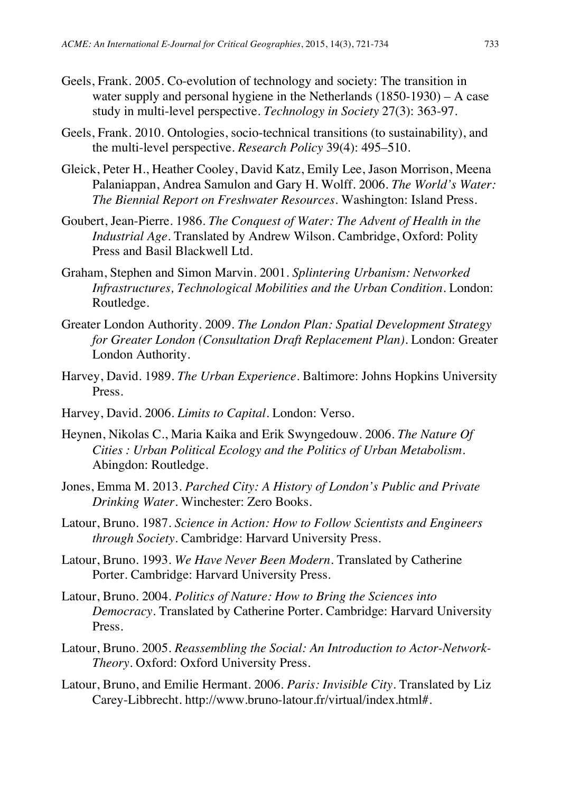- Geels, Frank. 2005. Co-evolution of technology and society: The transition in water supply and personal hygiene in the Netherlands (1850-1930) – A case study in multi-level perspective. *Technology in Society* 27(3): 363-97.
- Geels, Frank. 2010. Ontologies, socio-technical transitions (to sustainability), and the multi-level perspective. *Research Policy* 39(4): 495–510.
- Gleick, Peter H., Heather Cooley, David Katz, Emily Lee, Jason Morrison, Meena Palaniappan, Andrea Samulon and Gary H. Wolff. 2006. *The World's Water: The Biennial Report on Freshwater Resources*. Washington: Island Press.
- Goubert, Jean-Pierre. 1986. *The Conquest of Water: The Advent of Health in the Industrial Age*. Translated by Andrew Wilson. Cambridge, Oxford: Polity Press and Basil Blackwell Ltd.
- Graham, Stephen and Simon Marvin. 2001. *Splintering Urbanism: Networked Infrastructures, Technological Mobilities and the Urban Condition*. London: Routledge.
- Greater London Authority. 2009. *The London Plan: Spatial Development Strategy for Greater London (Consultation Draft Replacement Plan)*. London: Greater London Authority.
- Harvey, David. 1989. *The Urban Experience*. Baltimore: Johns Hopkins University Press.
- Harvey, David. 2006. *Limits to Capital*. London: Verso.
- Heynen, Nikolas C., Maria Kaika and Erik Swyngedouw. 2006. *The Nature Of Cities : Urban Political Ecology and the Politics of Urban Metabolism*. Abingdon: Routledge.
- Jones, Emma M. 2013. *Parched City: A History of London's Public and Private Drinking Water*. Winchester: Zero Books.
- Latour, Bruno. 1987. *Science in Action: How to Follow Scientists and Engineers through Society*. Cambridge: Harvard University Press.
- Latour, Bruno. 1993. *We Have Never Been Modern*. Translated by Catherine Porter. Cambridge: Harvard University Press.
- Latour, Bruno. 2004. *Politics of Nature: How to Bring the Sciences into Democracy*. Translated by Catherine Porter. Cambridge: Harvard University Press.
- Latour, Bruno. 2005. *Reassembling the Social: An Introduction to Actor-Network-Theory*. Oxford: Oxford University Press.
- Latour, Bruno, and Emilie Hermant. 2006. *Paris: Invisible City*. Translated by Liz Carey-Libbrecht. http://www.bruno-latour.fr/virtual/index.html#.